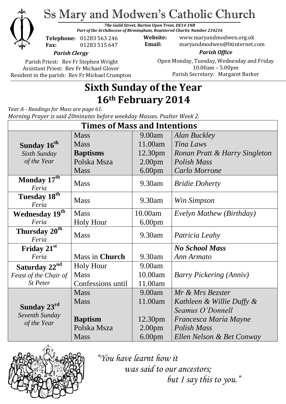

# Ss Mary and Modwen's Catholic Church

*78a Guild Street, Burton Upon Trent, DE14 1NB Part of the Archdiocese of Birmingham, Registered Charity Number 234216*

**Telephone:** 01283 563 246 **Fax:** 01283 515 647

**Website:** www.maryandmodwen.org.uk **Email:** maryandmodwen@btinternet.com

*Parish Clergy*

Parish Priest: Rev Fr Stephen Wright Assistant Priest: Rev Fr Michael Glover Resident in the parish: Rev Fr Michael Crumpton

*Parish Office* Open Monday, Tuesday, Wednesday and Friday 10.00am – 5.00pm Parish Secretary:Margaret Barker

## **Sixth Sunday of the Year 16th February 2014**

*Year A - Readings for Mass are page 61. Morning Prayer is said 20minutes before weekday Masses. Psalter Week 2.*

| <b>Times of Mass and Intentions</b>  |                   |                     |                                |
|--------------------------------------|-------------------|---------------------|--------------------------------|
|                                      | <b>Mass</b>       | 9.00am              | <b>Alan Buckley</b>            |
| Sunday 16 <sup>th</sup>              | <b>Mass</b>       | 11.00am             | Tina Laws                      |
| Sixth Sunday                         | <b>Baptisms</b>   | 12.30pm             | Ronan Pratt & Harry Singleton  |
| of the Year                          | Polska Msza       | 2.00 <sub>pm</sub>  | Polish Mass                    |
|                                      | <b>Mass</b>       | 6.00 <sub>pm</sub>  | <b>Carlo Morrone</b>           |
| Monday $17^{\overline{th}}$<br>Feria | <b>Mass</b>       | 9.30am              | <b>Bridie Doherty</b>          |
| Tuesday 18th<br>Feria                | <b>Mass</b>       | 9.30am              | Win Simpson                    |
| Wednesday 19th                       | <b>Mass</b>       | 10.00am             | Evelyn Mathew (Birthday)       |
| Feria                                | <b>Holy Hour</b>  | 6.00 <sub>pm</sub>  |                                |
| Thursday 20 <sup>th</sup><br>Feria   | <b>Mass</b>       | 9.30am              | Patricia Leahy                 |
| Friday 21st                          |                   |                     | <b>No School Mass</b>          |
| Feria                                | Mass in Church    | 9.30am              | Ann Armato                     |
| Saturday 22 <sup>nd</sup>            | <b>Holy Hour</b>  | 9.00am              |                                |
| Feast of the Chair of                | <b>Mass</b>       | 10.00am             | <b>Barry Pickering (Anniv)</b> |
| <b>St Peter</b>                      | Confessions until | 11.00am             |                                |
|                                      | <b>Mass</b>       | 9.00am              | Mr & Mrs Bezster               |
|                                      | <b>Mass</b>       | 11.00am             | Kathleen & Willie Duffy &      |
| Sunday 23rd                          |                   |                     | Seamus O'Donnell               |
| Seventh Sunday<br>of the Year        | <b>Baptism</b>    | 12.30 <sub>pm</sub> | Francesca Maria Mayne          |
|                                      | Polska Msza       | 2.00 <sub>pm</sub>  | Polish Mass                    |
|                                      | <b>Mass</b>       | 6.00 <sub>pm</sub>  | Ellen Nelson & Bet Conway      |



*"You have learnt how it was said to our ancestors; but I say this to you."*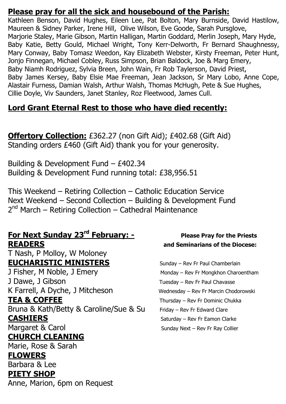#### **Please pray for all the sick and housebound of the Parish:**

Kathleen Benson, David Hughes, Eileen Lee, Pat Bolton, Mary Burnside, David Hastilow, Maureen & Sidney Parker, Irene Hill, Olive Wilson, Eve Goode, Sarah Pursglove, Marjorie Staley, Marie Gibson, Martin Halligan, Martin Goddard, Merlin Joseph, Mary Hyde, Baby Katie, Betty Gould, Michael Wright, Tony Kerr-Delworth, Fr Bernard Shaughnessy, Mary Conway, Baby Tomasz Weedon, Kay Elizabeth Webster, Kirsty Freeman, Peter Hunt, Jonjo Finnegan, Michael Cobley, Russ Simpson, Brian Baldock, Joe & Marg Emery, Baby Niamh Rodriguez, Sylvia Breen, John Wain, Fr Rob Taylerson, David Priest, Baby James Kersey, Baby Elsie Mae Freeman, Jean Jackson, Sr Mary Lobo, Anne Cope, Alastair Furness, Damian Walsh, Arthur Walsh, Thomas McHugh, Pete & Sue Hughes, Cillie Doyle, Viv Saunders, Janet Stanley, Roz Fleetwood, James Cull.

### **Lord Grant Eternal Rest to those who have died recently:**

**Offertory Collection:** £362.27 (non Gift Aid); £402.68 (Gift Aid) Standing orders £460 (Gift Aid) thank you for your generosity.

Building & Development Fund – £402.34 Building & Development Fund running total: £38,956.51

This Weekend – Retiring Collection – Catholic Education Service Next Weekend – Second Collection – Building & Development Fund 2<sup>nd</sup> March – Retiring Collection – Cathedral Maintenance

#### **For Next Sunday 23rd February: - Please Pray for the Priests READERS and Seminarians of the Diocese:**

T Nash, P Molloy, W Moloney **EUCHARISTIC MINISTERS** Sunday – Rev Fr Paul Chamberlain J Fisher, M Noble, J Emery Monday – Rev Fr Mongkhon Charoentham J Dawe, J Gibson Tuesday – Rev Fr Paul Chavasse K Farrell, A Dyche, J Mitcheson Wednesday – Rev Fr Marcin Chodorowski **TEA & COFFEE** Thursday – Rev Fr Dominic Chukka Bruna & Kath/Betty & Caroline/Sue & Su Friday - Rev Fr Edward Clare **CASHIERS** Saturday – Rev Fr Eamon Clarke Margaret & Carol **Margaret & Carol** Sunday Next – Rev Fr Ray Collier **CHURCH CLEANING**

Marie, Rose & Sarah **FLOWERS**  Barbara & Lee **PIETY SHOP** Anne, Marion, 6pm on Request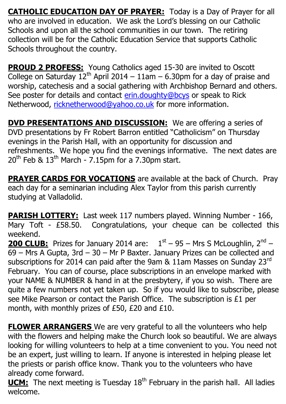**CATHOLIC EDUCATION DAY OF PRAYER:** Today is a Day of Prayer for all who are involved in education. We ask the Lord's blessing on our Catholic Schools and upon all the school communities in our town. The retiring collection will be for the Catholic Education Service that supports Catholic Schools throughout the country.

**PROUD 2 PROFESS:** Young Catholics aged 15-30 are invited to Oscott College on Saturday  $12<sup>th</sup>$  April 2014 – 11am – 6.30pm for a day of praise and worship, catechesis and a social gathering with Archbishop Bernard and others. See poster for details and contact [erin.doughty@bcys](mailto:erin.doughty@bcys) or speak to Rick Netherwood, [ricknetherwood@yahoo.co.uk](mailto:ricknetherwood@yahoo.co.uk) for more information.

**DVD PRESENTATIONS AND DISCUSSION:** We are offering a series of DVD presentations by Fr Robert Barron entitled "Catholicism" on Thursday evenings in the Parish Hall, with an opportunity for discussion and refreshments. We hope you find the evenings informative. The next dates are  $20^{th}$  Feb &  $13^{th}$  March - 7.15pm for a 7.30pm start.

**PRAYER CARDS FOR VOCATIONS** are available at the back of Church. Pray each day for a seminarian including Alex Taylor from this parish currently studying at Valladolid.

**PARISH LOTTERY:** Last week 117 numbers played. Winning Number - 166, Mary Toft - £58.50. Congratulations, your cheque can be collected this weekend.

**200 CLUB:** Prizes for January 2014 are:  $1<sup>st</sup> - 95 - Mrs S McLoughlin, 2<sup>nd</sup> -$ 69 – Mrs A Gupta, 3rd – 30 – Mr P Baxter. January Prizes can be collected and subscriptions for 2014 can paid after the 9am & 11am Masses on Sunday 23rd February. You can of course, place subscriptions in an envelope marked with your NAME & NUMBER & hand in at the presbytery, if you so wish. There are quite a few numbers not yet taken up. So if you would like to subscribe, please see Mike Pearson or contact the Parish Office. The subscription is £1 per month, with monthly prizes of £50, £20 and £10.

**FLOWER ARRANGERS** We are very grateful to all the volunteers who help with the flowers and helping make the Church look so beautiful. We are always looking for willing volunteers to help at a time convenient to you. You need not be an expert, just willing to learn. If anyone is interested in helping please let the priests or parish office know. Thank you to the volunteers who have already come forward.

**UCM:** The next meeting is Tuesday 18<sup>th</sup> February in the parish hall. All ladies welcome.